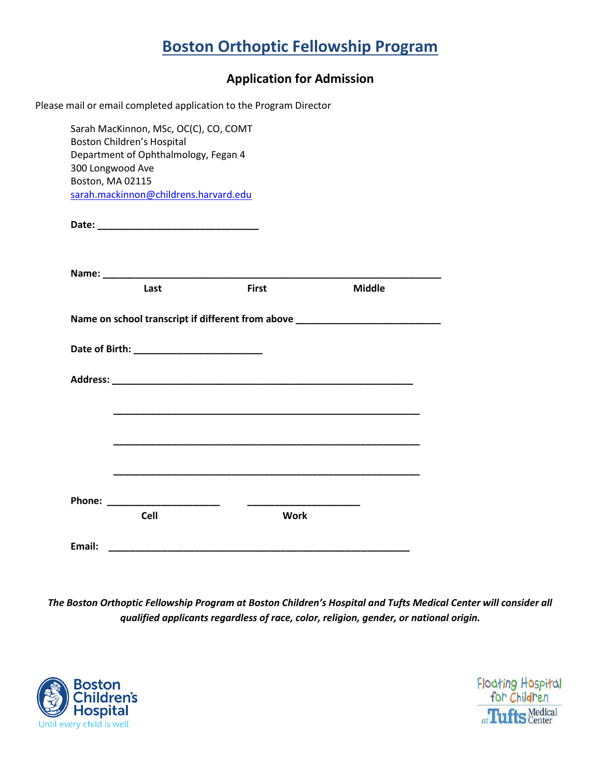## **Boston Orthoptic Fellowship Program**

## **Application for Admission**

| Boston, MA 02115 | Sarah MacKinnon, MSc, OC(C), CO, COMT<br><b>Boston Children's Hospital</b><br>Department of Ophthalmology, Fegan 4<br>300 Longwood Ave<br>sarah.mackinnon@childrens.harvard.edu |                                                                                  |               |  |
|------------------|---------------------------------------------------------------------------------------------------------------------------------------------------------------------------------|----------------------------------------------------------------------------------|---------------|--|
|                  |                                                                                                                                                                                 |                                                                                  |               |  |
|                  | Last                                                                                                                                                                            | <b>First</b>                                                                     | <b>Middle</b> |  |
|                  |                                                                                                                                                                                 | Name on school transcript if different from above ______________________________ |               |  |
|                  |                                                                                                                                                                                 |                                                                                  |               |  |
|                  |                                                                                                                                                                                 |                                                                                  |               |  |
|                  |                                                                                                                                                                                 |                                                                                  |               |  |
|                  |                                                                                                                                                                                 |                                                                                  |               |  |
|                  |                                                                                                                                                                                 |                                                                                  |               |  |
|                  | Phone: ________________________                                                                                                                                                 | $\overline{\phantom{a}}$                                                         |               |  |
|                  | <b>Cell</b>                                                                                                                                                                     | <b>Work</b>                                                                      |               |  |
| Email:           |                                                                                                                                                                                 |                                                                                  |               |  |

*The Boston Orthoptic Fellowship Program at Boston Children's Hospital and Tufts Medical Center will consider all qualified applicants regardless of race, color, religion, gender, or national origin.*